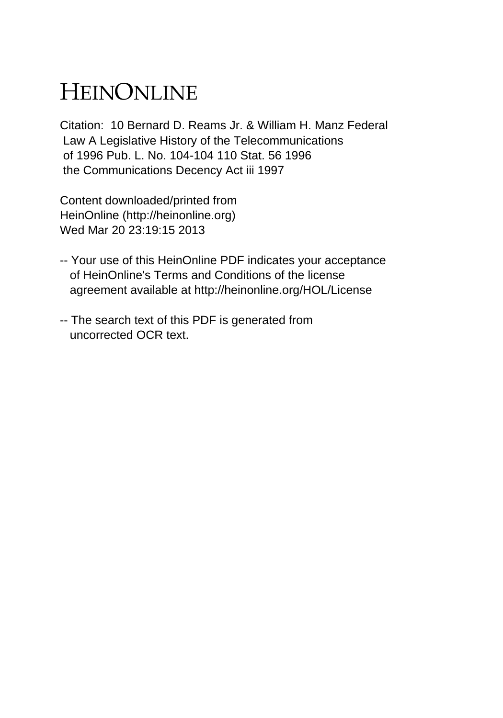## HEINONLINE

Citation: 10 Bernard D. Reams Jr. & William H. Manz Federal Law A Legislative History of the Telecommunications of 1996 Pub. L. No. 104-104 110 Stat. 56 1996 the Communications Decency Act iii 1997

Content downloaded/printed from HeinOnline (http://heinonline.org) Wed Mar 20 23:19:15 2013

- -- Your use of this HeinOnline PDF indicates your acceptance of HeinOnline's Terms and Conditions of the license agreement available at http://heinonline.org/HOL/License
- -- The search text of this PDF is generated from uncorrected OCR text.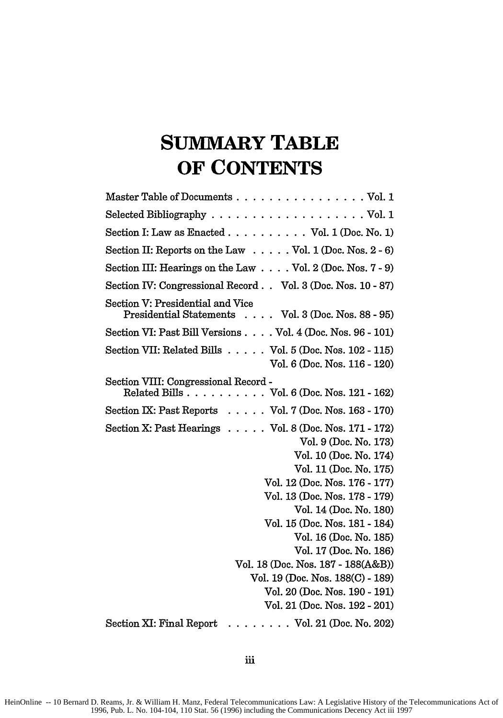## **SUMMARY TABLE OF CONTENTS**

| Master Table of Documents Vol. 1                                                                                                                                                                                                                                                                                                                                                                                                                                                    |
|-------------------------------------------------------------------------------------------------------------------------------------------------------------------------------------------------------------------------------------------------------------------------------------------------------------------------------------------------------------------------------------------------------------------------------------------------------------------------------------|
|                                                                                                                                                                                                                                                                                                                                                                                                                                                                                     |
| Section I: Law as Enacted Vol. 1 (Doc. No. 1)                                                                                                                                                                                                                                                                                                                                                                                                                                       |
| Section II: Reports on the Law Vol. 1 (Doc. Nos. 2 - 6)                                                                                                                                                                                                                                                                                                                                                                                                                             |
| Section III: Hearings on the Law $\ldots$ Vol. 2 (Doc. Nos. 7 - 9)                                                                                                                                                                                                                                                                                                                                                                                                                  |
| Section IV: Congressional Record Vol. 3 (Doc. Nos. 10 - 87)                                                                                                                                                                                                                                                                                                                                                                                                                         |
| Section V: Presidential and Vice<br>Presidential Statements Vol. 3 (Doc. Nos. 88 - 95)                                                                                                                                                                                                                                                                                                                                                                                              |
| Section VI: Past Bill Versions Vol. 4 (Doc. Nos. 96 - 101)                                                                                                                                                                                                                                                                                                                                                                                                                          |
| Section VII: Related Bills $\ldots$ . Vol. 5 (Doc. Nos. 102 - 115)<br>Vol. 6 (Doc. Nos. 116 - 120)                                                                                                                                                                                                                                                                                                                                                                                  |
| Section VIII: Congressional Record -<br>Related Bills Vol. 6 (Doc. Nos. 121 - 162)                                                                                                                                                                                                                                                                                                                                                                                                  |
| Section IX: Past Reports Vol. 7 (Doc. Nos. 163 - 170)                                                                                                                                                                                                                                                                                                                                                                                                                               |
| Section X: Past Hearings $\ldots$ . $\ldots$ Vol. 8 (Doc. Nos. 171 - 172)<br>Vol. 9 (Doc. No. 173)<br>Vol. 10 (Doc. No. 174)<br>Vol. 11 (Doc. No. 175)<br>Vol. 12 (Doc. Nos. 176 - 177)<br>Vol. 13 (Doc. Nos. 178 - 179)<br>Vol. 14 (Doc. No. 180)<br>Vol. 15 (Doc. Nos. 181 - 184)<br>Vol. 16 (Doc. No. 185)<br>Vol. 17 (Doc. No. 186)<br>Vol. 18 (Doc. Nos. 187 - 188(A&B))<br>Vol. 19 (Doc. Nos. 188(C) - 189)<br>Vol. 20 (Doc. Nos. 190 - 191)<br>Vol. 21 (Doc. Nos. 192 - 201) |
| Section XI: Final Report<br>. Vol. 21 (Doc. No. 202)                                                                                                                                                                                                                                                                                                                                                                                                                                |